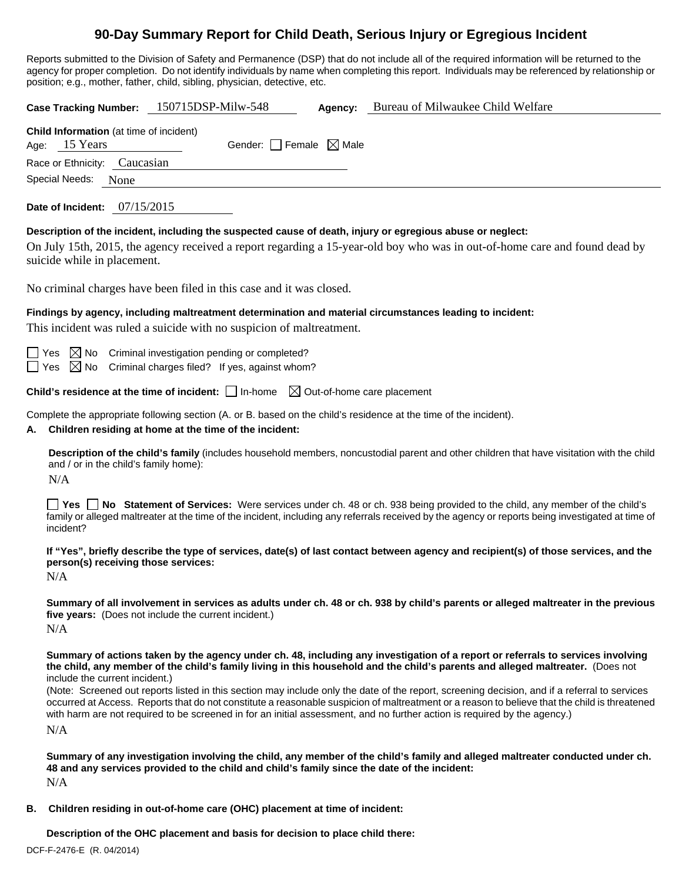# **90-Day Summary Report for Child Death, Serious Injury or Egregious Incident**

Reports submitted to the Division of Safety and Permanence (DSP) that do not include all of the required information will be returned to the agency for proper completion. Do not identify individuals by name when completing this report. Individuals may be referenced by relationship or position; e.g., mother, father, child, sibling, physician, detective, etc.

**Case Tracking Number:** 150715DSP-Milw-548 **Agency:** Bureau of Milwaukee Child Welfare **Child Information** (at time of incident) Age:  $15$  Years Gender: Female  $\boxtimes$  Male Race or Ethnicity: Caucasian Special Needs: None **Date of Incident:** 07/15/2015 **Description of the incident, including the suspected cause of death, injury or egregious abuse or neglect:**  On July 15th, 2015, the agency received a report regarding a 15-year-old boy who was in out-of-home care and found dead by suicide while in placement. No criminal charges have been filed in this case and it was closed. **Findings by agency, including maltreatment determination and material circumstances leading to incident:**  This incident was ruled a suicide with no suspicion of maltreatment.  $\Box$  Yes  $\boxtimes$  No Criminal investigation pending or completed?  $\Box$  Yes  $\boxtimes$  No Criminal charges filed? If yes, against whom? **Child's residence at the time of incident:**  $\Box$  In-home  $\Box$  Out-of-home care placement Complete the appropriate following section (A. or B. based on the child's residence at the time of the incident). **A. Children residing at home at the time of the incident: Description of the child's family** (includes household members, noncustodial parent and other children that have visitation with the child and / or in the child's family home): N/A **Yes No Statement of Services:** Were services under ch. 48 or ch. 938 being provided to the child, any member of the child's family or alleged maltreater at the time of the incident, including any referrals received by the agency or reports being investigated at time of incident? **If "Yes", briefly describe the type of services, date(s) of last contact between agency and recipient(s) of those services, and the person(s) receiving those services:**  N/A **Summary of all involvement in services as adults under ch. 48 or ch. 938 by child's parents or alleged maltreater in the previous five years:** (Does not include the current incident.) N/A **Summary of actions taken by the agency under ch. 48, including any investigation of a report or referrals to services involving the child, any member of the child's family living in this household and the child's parents and alleged maltreater.** (Does not include the current incident.) (Note: Screened out reports listed in this section may include only the date of the report, screening decision, and if a referral to services occurred at Access. Reports that do not constitute a reasonable suspicion of maltreatment or a reason to believe that the child is threatened with harm are not required to be screened in for an initial assessment, and no further action is required by the agency.) N/A **Summary of any investigation involving the child, any member of the child's family and alleged maltreater conducted under ch. 48 and any services provided to the child and child's family since the date of the incident:**  N/A

**B. Children residing in out-of-home care (OHC) placement at time of incident:**

**Description of the OHC placement and basis for decision to place child there:**